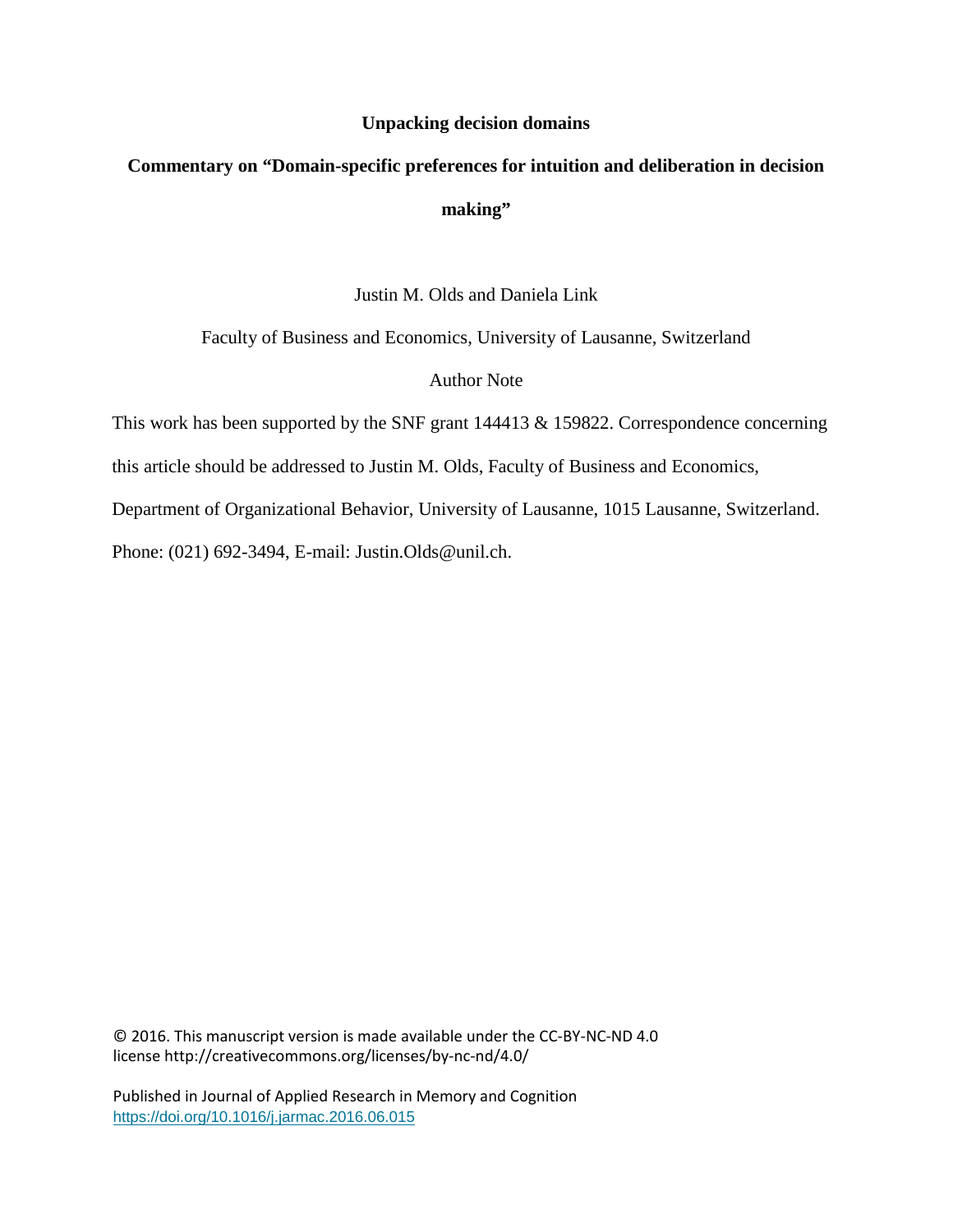## **Unpacking decision domains**

# **Commentary on "Domain-specific preferences for intuition and deliberation in decision making"**

Justin M. Olds and Daniela Link

Faculty of Business and Economics, University of Lausanne, Switzerland

# Author Note

This work has been supported by the SNF grant 144413 & 159822. Correspondence concerning

this article should be addressed to Justin M. Olds, Faculty of Business and Economics,

Department of Organizational Behavior, University of Lausanne, 1015 Lausanne, Switzerland.

Phone: (021) 692-3494, E-mail: Justin.Olds@unil.ch.

© 2016. This manuscript version is made available under the CC-BY-NC-ND 4.0 license http://creativecommons.org/licenses/by-nc-nd/4.0/

Published in Journal of Applied Research in Memory and Cognition https://doi.org/10.1016/j.jarmac.2016.06.015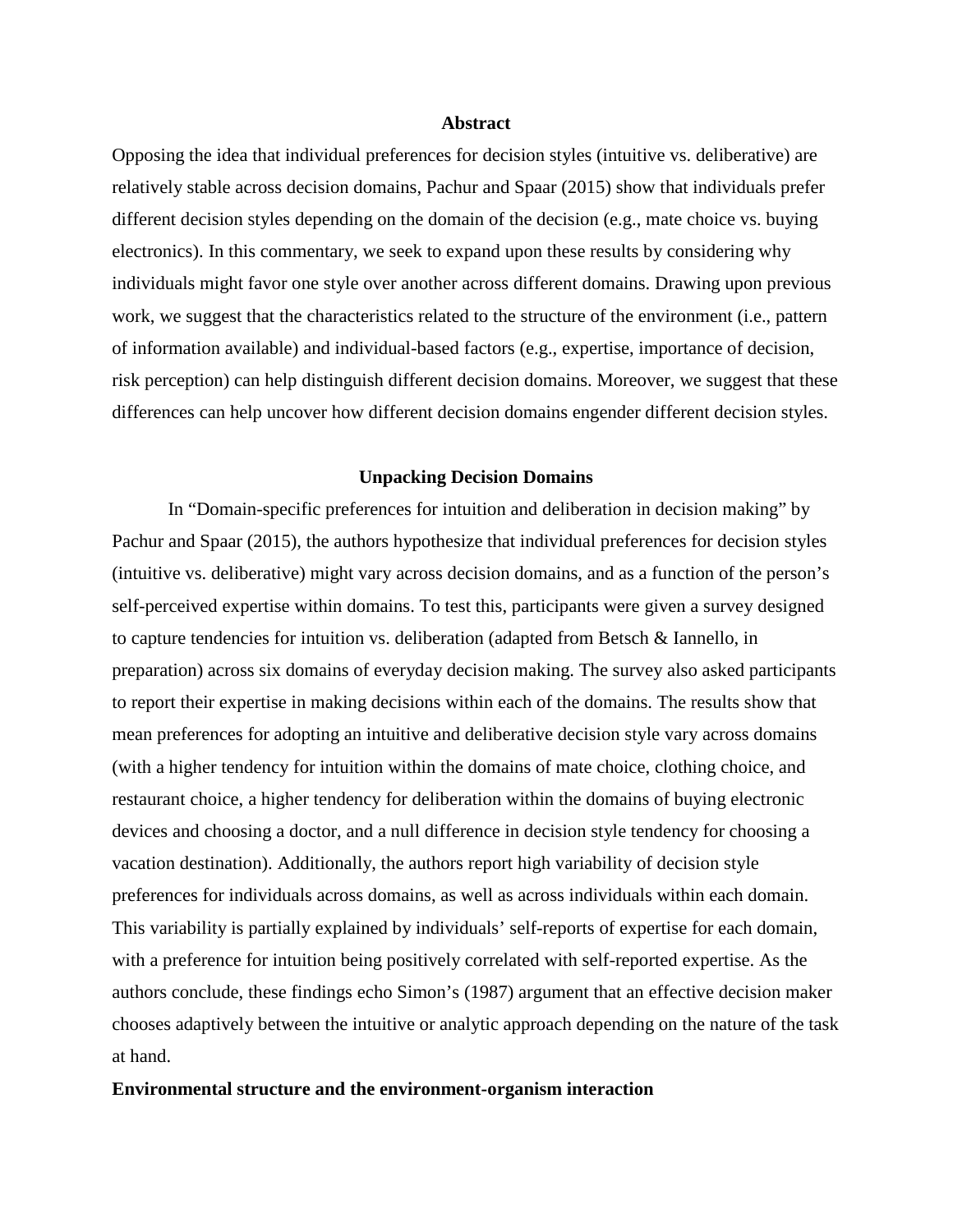#### **Abstract**

Opposing the idea that individual preferences for decision styles (intuitive vs. deliberative) are relatively stable across decision domains, Pachur and Spaar (2015) show that individuals prefer different decision styles depending on the domain of the decision (e.g., mate choice vs. buying electronics). In this commentary, we seek to expand upon these results by considering why individuals might favor one style over another across different domains. Drawing upon previous work, we suggest that the characteristics related to the structure of the environment (i.e., pattern of information available) and individual-based factors (e.g., expertise, importance of decision, risk perception) can help distinguish different decision domains. Moreover, we suggest that these differences can help uncover how different decision domains engender different decision styles.

#### **Unpacking Decision Domains**

In "Domain-specific preferences for intuition and deliberation in decision making" by Pachur and Spaar (2015), the authors hypothesize that individual preferences for decision styles (intuitive vs. deliberative) might vary across decision domains, and as a function of the person's self-perceived expertise within domains. To test this, participants were given a survey designed to capture tendencies for intuition vs. deliberation (adapted from Betsch & Iannello, in preparation) across six domains of everyday decision making. The survey also asked participants to report their expertise in making decisions within each of the domains. The results show that mean preferences for adopting an intuitive and deliberative decision style vary across domains (with a higher tendency for intuition within the domains of mate choice, clothing choice, and restaurant choice, a higher tendency for deliberation within the domains of buying electronic devices and choosing a doctor, and a null difference in decision style tendency for choosing a vacation destination). Additionally, the authors report high variability of decision style preferences for individuals across domains, as well as across individuals within each domain. This variability is partially explained by individuals' self-reports of expertise for each domain, with a preference for intuition being positively correlated with self-reported expertise. As the authors conclude, these findings echo Simon's (1987) argument that an effective decision maker chooses adaptively between the intuitive or analytic approach depending on the nature of the task at hand.

#### **Environmental structure and the environment-organism interaction**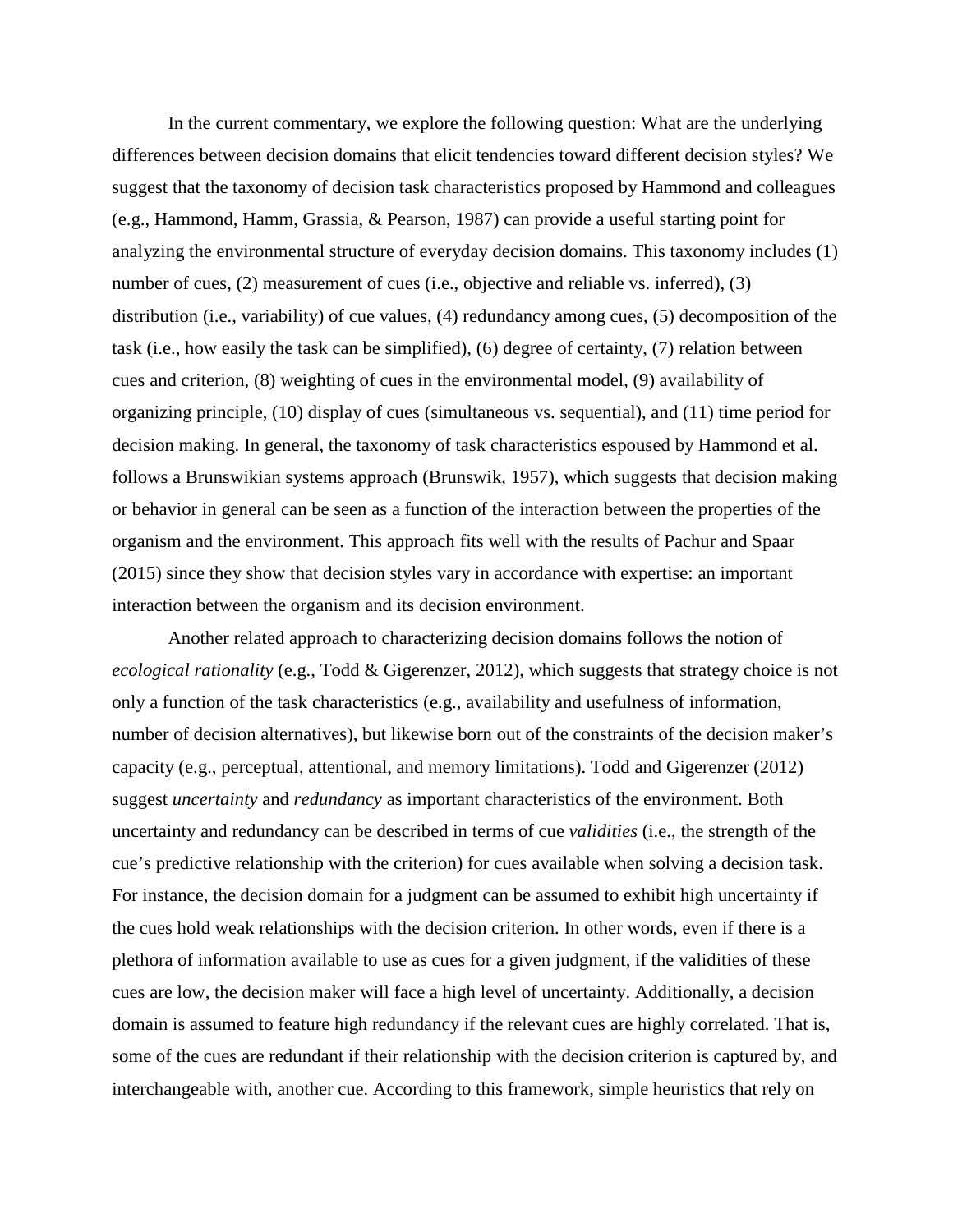In the current commentary, we explore the following question: What are the underlying differences between decision domains that elicit tendencies toward different decision styles? We suggest that the taxonomy of decision task characteristics proposed by Hammond and colleagues (e.g., Hammond, Hamm, Grassia, & Pearson, 1987) can provide a useful starting point for analyzing the environmental structure of everyday decision domains. This taxonomy includes (1) number of cues, (2) measurement of cues (i.e., objective and reliable vs. inferred), (3) distribution (i.e., variability) of cue values, (4) redundancy among cues, (5) decomposition of the task (i.e., how easily the task can be simplified), (6) degree of certainty, (7) relation between cues and criterion, (8) weighting of cues in the environmental model, (9) availability of organizing principle, (10) display of cues (simultaneous vs. sequential), and (11) time period for decision making. In general, the taxonomy of task characteristics espoused by Hammond et al. follows a Brunswikian systems approach (Brunswik, 1957), which suggests that decision making or behavior in general can be seen as a function of the interaction between the properties of the organism and the environment. This approach fits well with the results of Pachur and Spaar (2015) since they show that decision styles vary in accordance with expertise: an important interaction between the organism and its decision environment.

Another related approach to characterizing decision domains follows the notion of *ecological rationality* (e.g., Todd & Gigerenzer, 2012), which suggests that strategy choice is not only a function of the task characteristics (e.g., availability and usefulness of information, number of decision alternatives), but likewise born out of the constraints of the decision maker's capacity (e.g., perceptual, attentional, and memory limitations). Todd and Gigerenzer (2012) suggest *uncertainty* and *redundancy* as important characteristics of the environment. Both uncertainty and redundancy can be described in terms of cue *validities* (i.e., the strength of the cue's predictive relationship with the criterion) for cues available when solving a decision task. For instance, the decision domain for a judgment can be assumed to exhibit high uncertainty if the cues hold weak relationships with the decision criterion. In other words, even if there is a plethora of information available to use as cues for a given judgment, if the validities of these cues are low, the decision maker will face a high level of uncertainty. Additionally, a decision domain is assumed to feature high redundancy if the relevant cues are highly correlated. That is, some of the cues are redundant if their relationship with the decision criterion is captured by, and interchangeable with, another cue. According to this framework, simple heuristics that rely on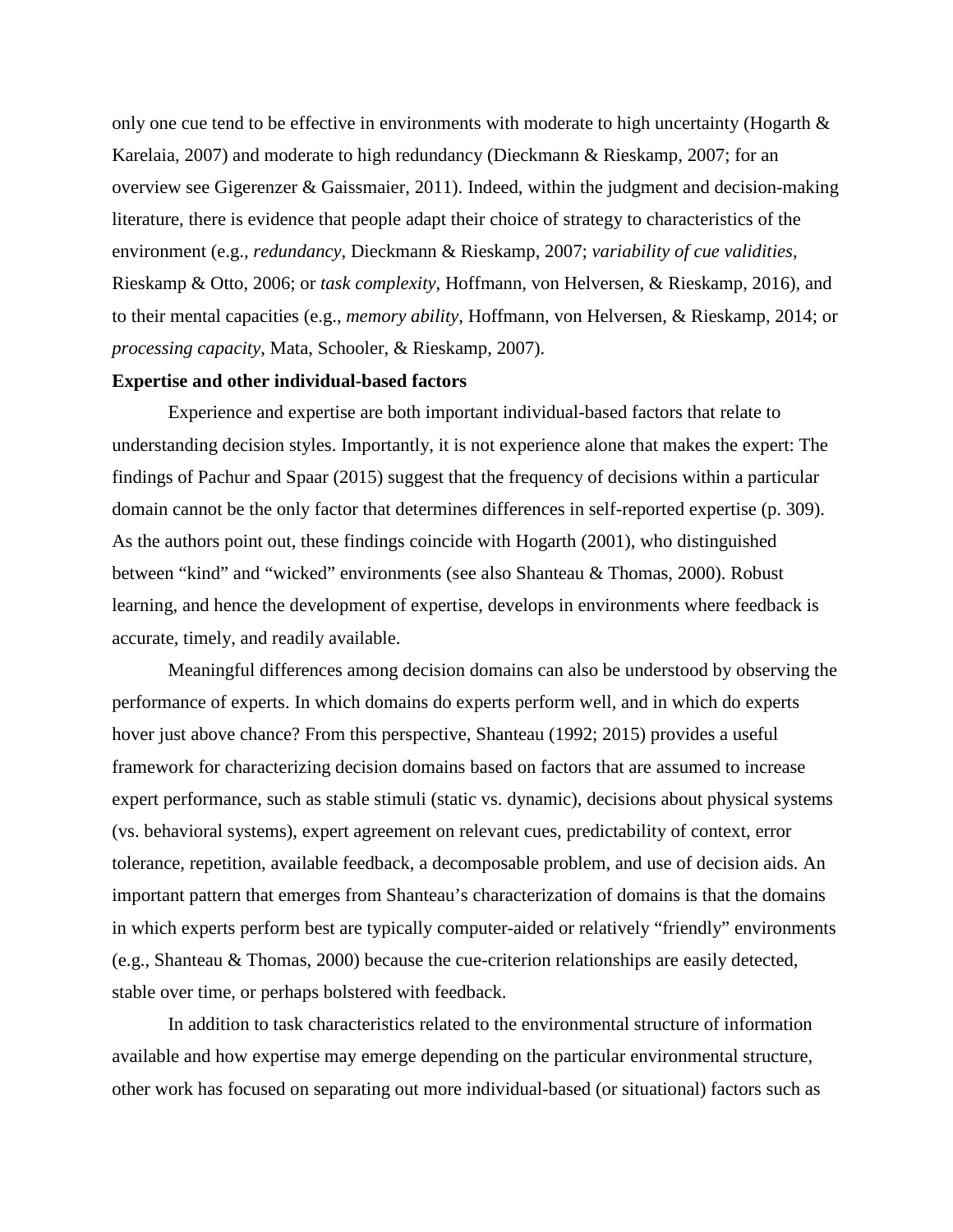only one cue tend to be effective in environments with moderate to high uncertainty (Hogarth  $\&$ Karelaia, 2007) and moderate to high redundancy (Dieckmann & Rieskamp, 2007; for an overview see Gigerenzer & Gaissmaier, 2011). Indeed, within the judgment and decision-making literature, there is evidence that people adapt their choice of strategy to characteristics of the environment (e.g., *redundancy*, Dieckmann & Rieskamp, 2007; *variability of cue validities*, Rieskamp & Otto, 2006; or *task complexity*, Hoffmann, von Helversen, & Rieskamp, 2016), and to their mental capacities (e.g., *memory ability*, Hoffmann, von Helversen, & Rieskamp, 2014; or *processing capacity*, Mata, Schooler, & Rieskamp, 2007).

#### **Expertise and other individual-based factors**

Experience and expertise are both important individual-based factors that relate to understanding decision styles. Importantly, it is not experience alone that makes the expert: The findings of Pachur and Spaar (2015) suggest that the frequency of decisions within a particular domain cannot be the only factor that determines differences in self-reported expertise (p. 309). As the authors point out, these findings coincide with Hogarth (2001), who distinguished between "kind" and "wicked" environments (see also Shanteau & Thomas, 2000). Robust learning, and hence the development of expertise, develops in environments where feedback is accurate, timely, and readily available.

Meaningful differences among decision domains can also be understood by observing the performance of experts. In which domains do experts perform well, and in which do experts hover just above chance? From this perspective, Shanteau (1992; 2015) provides a useful framework for characterizing decision domains based on factors that are assumed to increase expert performance, such as stable stimuli (static vs. dynamic), decisions about physical systems (vs. behavioral systems), expert agreement on relevant cues, predictability of context, error tolerance, repetition, available feedback, a decomposable problem, and use of decision aids. An important pattern that emerges from Shanteau's characterization of domains is that the domains in which experts perform best are typically computer-aided or relatively "friendly" environments (e.g., Shanteau & Thomas, 2000) because the cue-criterion relationships are easily detected, stable over time, or perhaps bolstered with feedback.

In addition to task characteristics related to the environmental structure of information available and how expertise may emerge depending on the particular environmental structure, other work has focused on separating out more individual-based (or situational) factors such as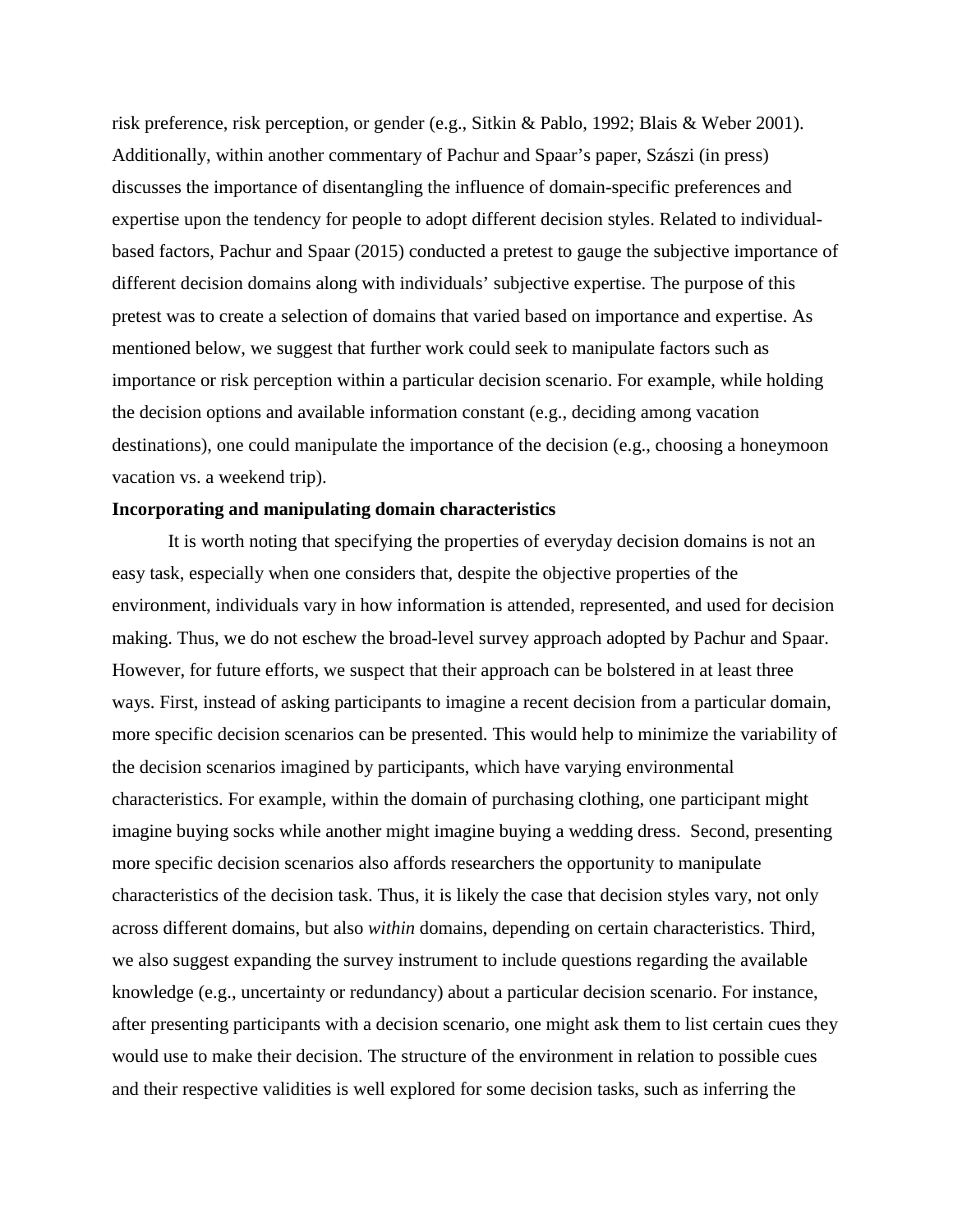risk preference, risk perception, or gender (e.g., Sitkin & Pablo, 1992; Blais & Weber 2001). Additionally, within another commentary of Pachur and Spaar's paper, Szászi (in press) discusses the importance of disentangling the influence of domain-specific preferences and expertise upon the tendency for people to adopt different decision styles. Related to individualbased factors, Pachur and Spaar (2015) conducted a pretest to gauge the subjective importance of different decision domains along with individuals' subjective expertise. The purpose of this pretest was to create a selection of domains that varied based on importance and expertise. As mentioned below, we suggest that further work could seek to manipulate factors such as importance or risk perception within a particular decision scenario. For example, while holding the decision options and available information constant (e.g., deciding among vacation destinations), one could manipulate the importance of the decision (e.g., choosing a honeymoon vacation vs. a weekend trip).

#### **Incorporating and manipulating domain characteristics**

It is worth noting that specifying the properties of everyday decision domains is not an easy task, especially when one considers that, despite the objective properties of the environment, individuals vary in how information is attended, represented, and used for decision making. Thus, we do not eschew the broad-level survey approach adopted by Pachur and Spaar. However, for future efforts, we suspect that their approach can be bolstered in at least three ways. First, instead of asking participants to imagine a recent decision from a particular domain, more specific decision scenarios can be presented. This would help to minimize the variability of the decision scenarios imagined by participants, which have varying environmental characteristics. For example, within the domain of purchasing clothing, one participant might imagine buying socks while another might imagine buying a wedding dress. Second, presenting more specific decision scenarios also affords researchers the opportunity to manipulate characteristics of the decision task. Thus, it is likely the case that decision styles vary, not only across different domains, but also *within* domains, depending on certain characteristics. Third, we also suggest expanding the survey instrument to include questions regarding the available knowledge (e.g., uncertainty or redundancy) about a particular decision scenario. For instance, after presenting participants with a decision scenario, one might ask them to list certain cues they would use to make their decision. The structure of the environment in relation to possible cues and their respective validities is well explored for some decision tasks, such as inferring the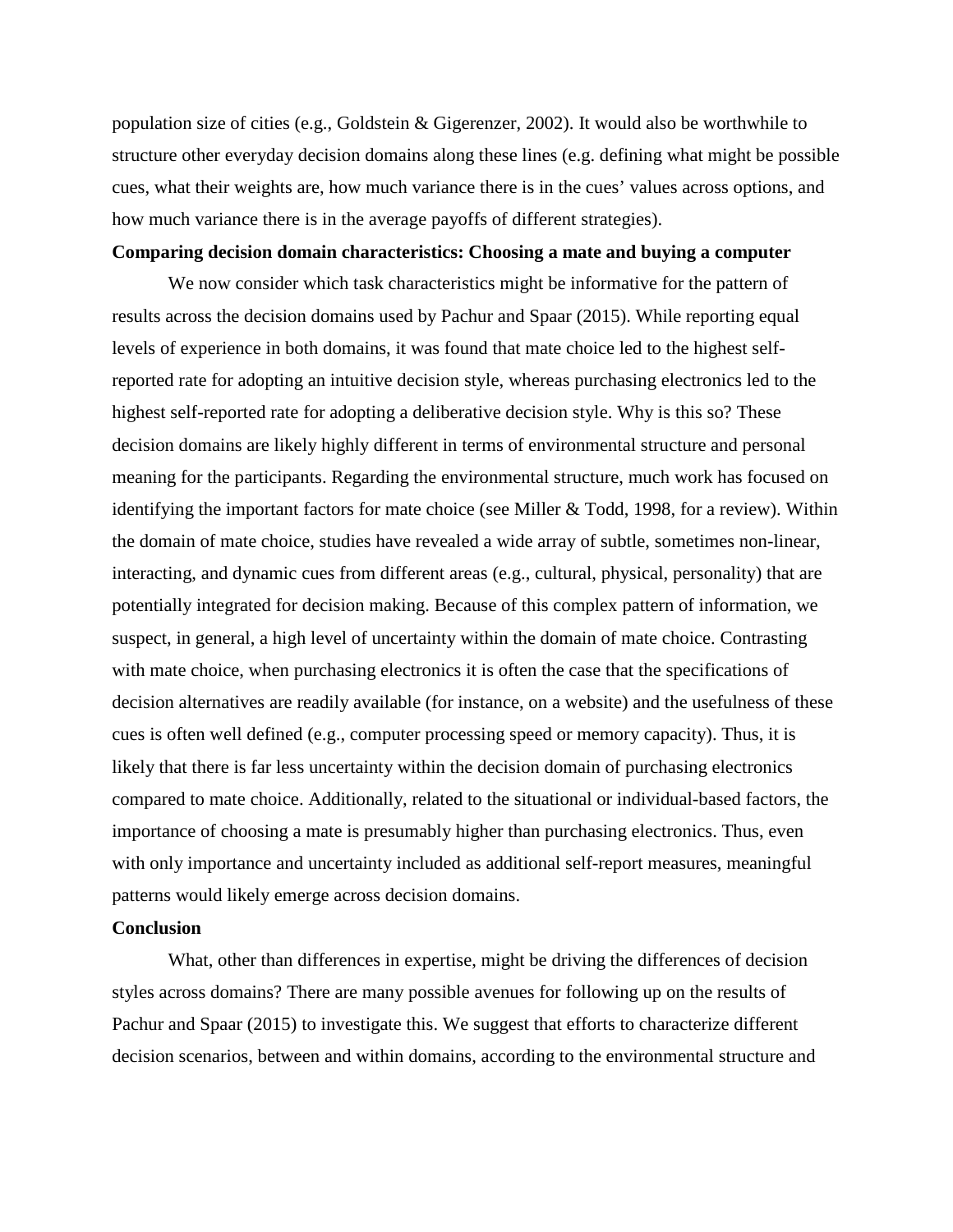population size of cities (e.g., Goldstein & Gigerenzer, 2002). It would also be worthwhile to structure other everyday decision domains along these lines (e.g. defining what might be possible cues, what their weights are, how much variance there is in the cues' values across options, and how much variance there is in the average payoffs of different strategies).

#### **Comparing decision domain characteristics: Choosing a mate and buying a computer**

We now consider which task characteristics might be informative for the pattern of results across the decision domains used by Pachur and Spaar (2015). While reporting equal levels of experience in both domains, it was found that mate choice led to the highest selfreported rate for adopting an intuitive decision style, whereas purchasing electronics led to the highest self-reported rate for adopting a deliberative decision style. Why is this so? These decision domains are likely highly different in terms of environmental structure and personal meaning for the participants. Regarding the environmental structure, much work has focused on identifying the important factors for mate choice (see Miller & Todd, 1998, for a review). Within the domain of mate choice, studies have revealed a wide array of subtle, sometimes non-linear, interacting, and dynamic cues from different areas (e.g., cultural, physical, personality) that are potentially integrated for decision making. Because of this complex pattern of information, we suspect, in general, a high level of uncertainty within the domain of mate choice. Contrasting with mate choice, when purchasing electronics it is often the case that the specifications of decision alternatives are readily available (for instance, on a website) and the usefulness of these cues is often well defined (e.g., computer processing speed or memory capacity). Thus, it is likely that there is far less uncertainty within the decision domain of purchasing electronics compared to mate choice. Additionally, related to the situational or individual-based factors, the importance of choosing a mate is presumably higher than purchasing electronics. Thus, even with only importance and uncertainty included as additional self-report measures, meaningful patterns would likely emerge across decision domains.

## **Conclusion**

What, other than differences in expertise, might be driving the differences of decision styles across domains? There are many possible avenues for following up on the results of Pachur and Spaar (2015) to investigate this. We suggest that efforts to characterize different decision scenarios, between and within domains, according to the environmental structure and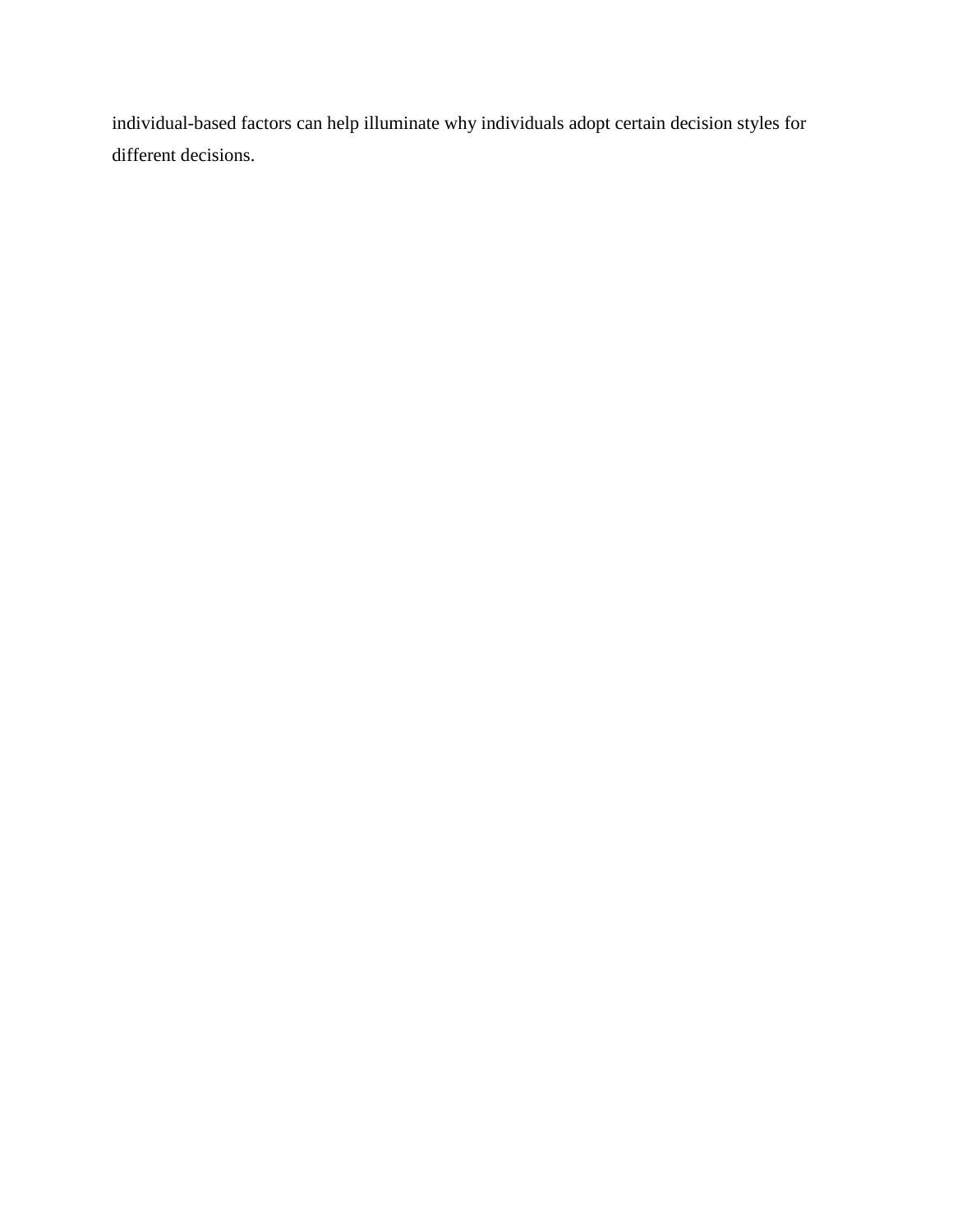individual-based factors can help illuminate why individuals adopt certain decision styles for different decisions.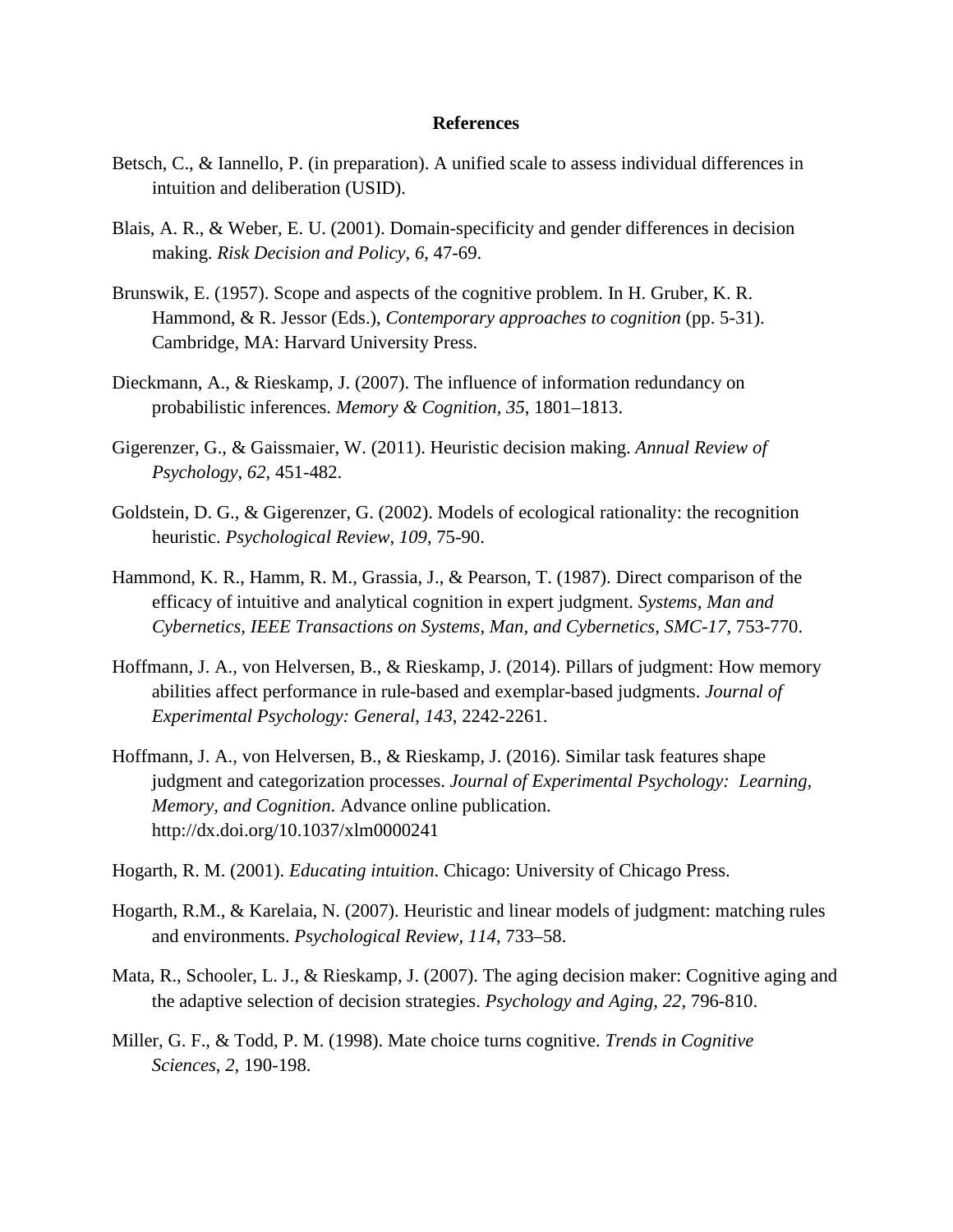#### **References**

- Betsch, C., & Iannello, P. (in preparation). A unified scale to assess individual differences in intuition and deliberation (USID).
- Blais, A. R., & Weber, E. U. (2001). Domain-specificity and gender differences in decision making. *Risk Decision and Policy*, *6*, 47-69.
- Brunswik, E. (1957). Scope and aspects of the cognitive problem. In H. Gruber, K. R. Hammond, & R. Jessor (Eds.), *Contemporary approaches to cognition* (pp. 5-31). Cambridge, MA: Harvard University Press.
- Dieckmann, A., & Rieskamp, J. (2007). The influence of information redundancy on probabilistic inferences. *Memory & Cognition, 35*, 1801–1813.
- Gigerenzer, G., & Gaissmaier, W. (2011). Heuristic decision making. *Annual Review of Psychology*, *62*, 451-482.
- Goldstein, D. G., & Gigerenzer, G. (2002). Models of ecological rationality: the recognition heuristic. *Psychological Review*, *109*, 75-90.
- Hammond, K. R., Hamm, R. M., Grassia, J., & Pearson, T. (1987). Direct comparison of the efficacy of intuitive and analytical cognition in expert judgment. *Systems, Man and Cybernetics, IEEE Transactions on Systems, Man, and Cybernetics*, *SMC-17*, 753-770.
- Hoffmann, J. A., von Helversen, B., & Rieskamp, J. (2014). Pillars of judgment: How memory abilities affect performance in rule-based and exemplar-based judgments. *Journal of Experimental Psychology: General*, *143*, 2242-2261.
- Hoffmann, J. A., von Helversen, B., & Rieskamp, J. (2016). Similar task features shape judgment and categorization processes. *Journal of Experimental Psychology: Learning, Memory, and Cognition*. Advance online publication. http://dx.doi.org/10.1037/xlm0000241
- Hogarth, R. M. (2001). *Educating intuition*. Chicago: University of Chicago Press.
- Hogarth, R.M., & Karelaia, N. (2007). Heuristic and linear models of judgment: matching rules and environments. *Psychological Review, 114*, 733–58.
- Mata, R., Schooler, L. J., & Rieskamp, J. (2007). The aging decision maker: Cognitive aging and the adaptive selection of decision strategies. *Psychology and Aging*, *22*, 796-810.
- Miller, G. F., & Todd, P. M. (1998). Mate choice turns cognitive. *Trends in Cognitive Sciences*, *2*, 190-198.